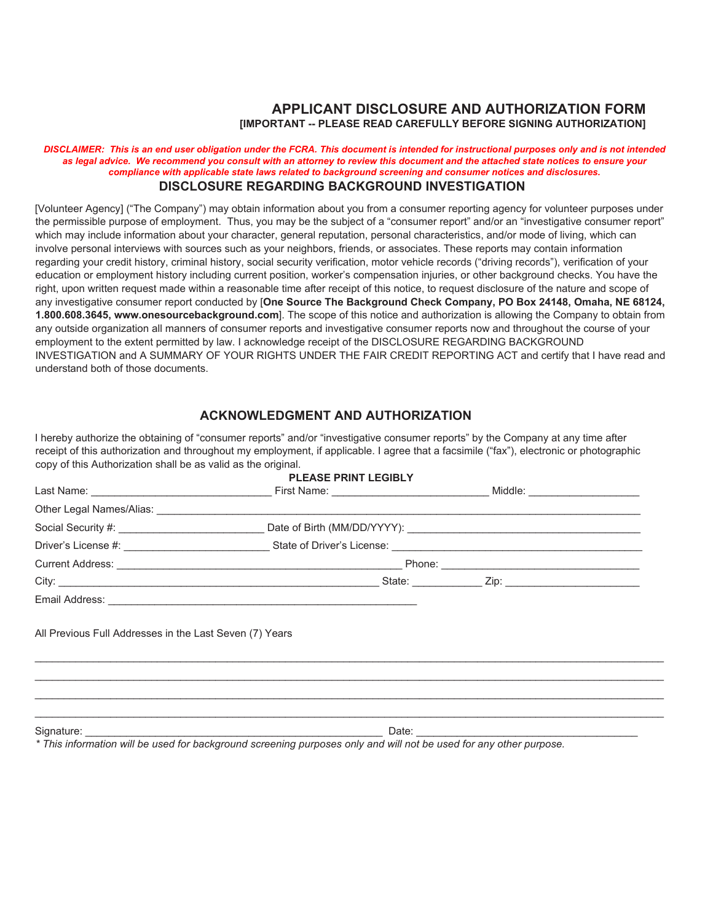### **APPLICANT DISCLOSURE AND AUTHORIZATION FORM [IMPORTANT -- PLEASE READ CAREFULLY BEFORE SIGNING AUTHORIZATION]**

#### *DISCLAIMER: This is an end user obligation under the FCRA. This document is intended for instructional purposes only and is not intended*  as legal advice. We recommend you consult with an attorney to review this document and the attached state notices to ensure your *compliance with applicable state laws related to background screening and consumer notices and disclosures.*  **DISCLOSURE REGARDING BACKGROUND INVESTIGATION**

[Volunteer Agency] ("The Company") may obtain information about you from a consumer reporting agency for volunteer purposes under the permissible purpose of employment. Thus, you may be the subject of a "consumer report" and/or an "investigative consumer report" which may include information about your character, general reputation, personal characteristics, and/or mode of living, which can involve personal interviews with sources such as your neighbors, friends, or associates. These reports may contain information regarding your credit history, criminal history, social security verification, motor vehicle records ("driving records"), verification of your education or employment history including current position, worker's compensation injuries, or other background checks. You have the right, upon written request made within a reasonable time after receipt of this notice, to request disclosure of the nature and scope of any investigative consumer report conducted by [**One Source The Background Check Company, PO Box 24148, Omaha, NE 68124, 1.800.608.3645, www.onesourcebackground.com**]. The scope of this notice and authorization is allowing the Company to obtain from any outside organization all manners of consumer reports and investigative consumer reports now and throughout the course of your employment to the extent permitted by law. I acknowledge receipt of the DISCLOSURE REGARDING BACKGROUND INVESTIGATION and A SUMMARY OF YOUR RIGHTS UNDER THE FAIR CREDIT REPORTING ACT and certify that I have read and understand both of those documents.

### **ACKNOWLEDGMENT AND AUTHORIZATION**

I hereby authorize the obtaining of "consumer reports" and/or "investigative consumer reports" by the Company at any time after receipt of this authorization and throughout my employment, if applicable. I agree that a facsimile ("fax"), electronic or photographic copy of this Authorization shall be as valid as the original.

|                                                         | <b>PLEASE PRINT LEGIBLY</b> |       |                                |  |
|---------------------------------------------------------|-----------------------------|-------|--------------------------------|--|
|                                                         |                             |       | Middle: ______________________ |  |
|                                                         |                             |       |                                |  |
|                                                         |                             |       |                                |  |
|                                                         |                             |       |                                |  |
|                                                         |                             |       |                                |  |
|                                                         |                             |       |                                |  |
|                                                         |                             |       |                                |  |
| All Previous Full Addresses in the Last Seven (7) Years |                             |       |                                |  |
|                                                         |                             |       |                                |  |
| Signature: ____________________                         |                             | Date: |                                |  |

*\* This information will be used for background screening purposes only and will not be used for any other purpose.*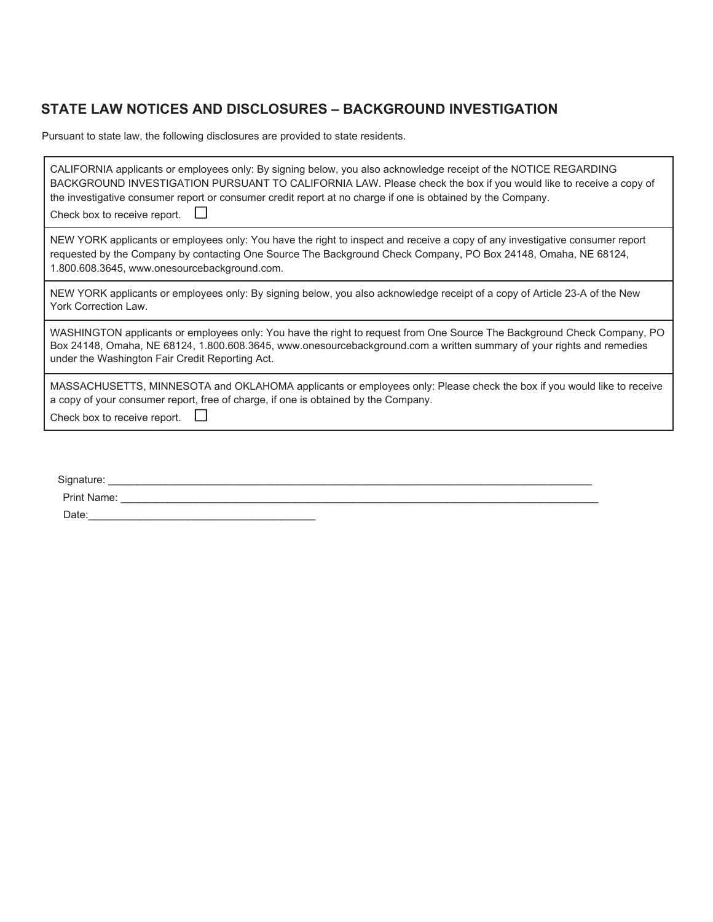# **STATE LAW NOTICES AND DISCLOSURES – BACKGROUND INVESTIGATION**

Pursuant to state law, the following disclosures are provided to state residents.

| Signature:  |  |
|-------------|--|
| Print Name: |  |
| Date:       |  |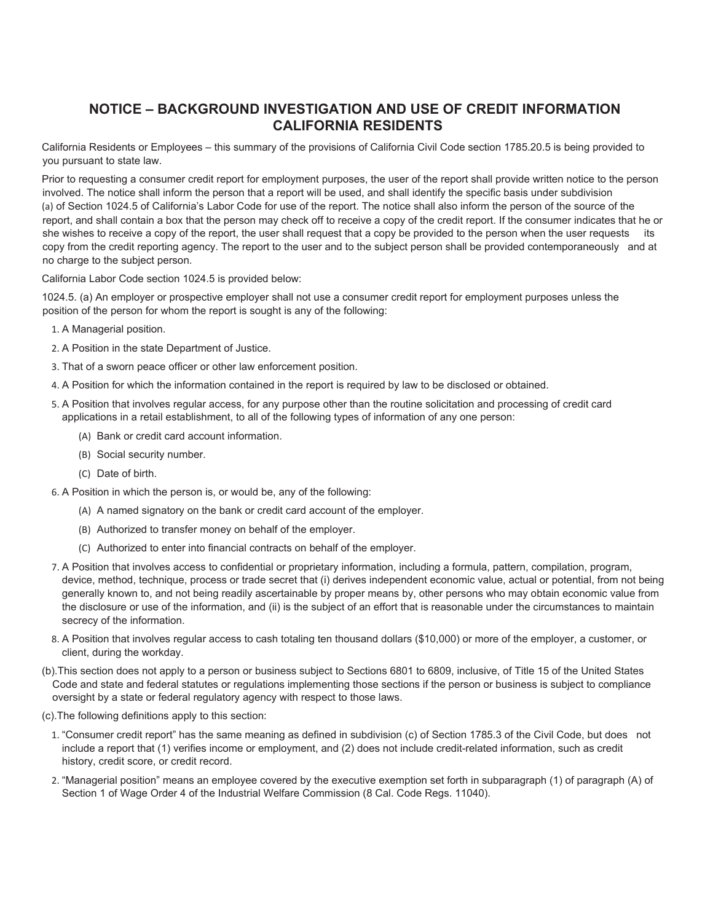# **NOTICE – BACKGROUND INVESTIGATION AND USE OF CREDIT INFORMATION CALIFORNIA RESIDENTS**

California Residents or Employees – this summary of the provisions of California Civil Code section 1785.20.5 is being provided to you pursuant to state law.

Prior to requesting a consumer credit report for employment purposes, the user of the report shall provide written notice to the person involved. The notice shall inform the person that a report will be used, and shall identify the specific basis under subdivision (a) of Section 1024.5 of California's Labor Code for use of the report. The notice shall also inform the person of the source of the report, and shall contain a box that the person may check off to receive a copy of the credit report. If the consumer indicates that he or she wishes to receive a copy of the report, the user shall request that a copy be provided to the person when the user requests its copy from the credit reporting agency. The report to the user and to the subject person shall be provided contemporaneously and at no charge to the subject person.

California Labor Code section 1024.5 is provided below:

1024.5. (a) An employer or prospective employer shall not use a consumer credit report for employment purposes unless the position of the person for whom the report is sought is any of the following:

- 1. A Managerial position.
- 2. A Position in the state Department of Justice.
- 3. That of a sworn peace officer or other law enforcement position.
- 4. A Position for which the information contained in the report is required by law to be disclosed or obtained.
- 5. A Position that involves regular access, for any purpose other than the routine solicitation and processing of credit card applications in a retail establishment, to all of the following types of information of any one person:
	- (A) Bank or credit card account information.
	- (B) Social security number.
	- (C) Date of birth.
- 6. A Position in which the person is, or would be, any of the following:
	- (A) A named signatory on the bank or credit card account of the employer.
	- (B) Authorized to transfer money on behalf of the employer.
	- (C) Authorized to enter into financial contracts on behalf of the employer.
- 7. A Position that involves access to confidential or proprietary information, including a formula, pattern, compilation, program, device, method, technique, process or trade secret that (i) derives independent economic value, actual or potential, from not being generally known to, and not being readily ascertainable by proper means by, other persons who may obtain economic value from the disclosure or use of the information, and (ii) is the subject of an effort that is reasonable under the circumstances to maintain secrecy of the information.
- 8. A Position that involves regular access to cash totaling ten thousand dollars (\$10,000) or more of the employer, a customer, or client, during the workday.
- (b).This section does not apply to a person or business subject to Sections 6801 to 6809, inclusive, of Title 15 of the United States Code and state and federal statutes or regulations implementing those sections if the person or business is subject to compliance oversight by a state or federal regulatory agency with respect to those laws.
- (c).The following definitions apply to this section:
	- 1. "Consumer credit report" has the same meaning as defined in subdivision (c) of Section 1785.3 of the Civil Code, but does not include a report that (1) verifies income or employment, and (2) does not include credit-related information, such as credit history, credit score, or credit record.
	- 2. "Managerial position" means an employee covered by the executive exemption set forth in subparagraph (1) of paragraph (A) of Section 1 of Wage Order 4 of the Industrial Welfare Commission (8 Cal. Code Regs. 11040).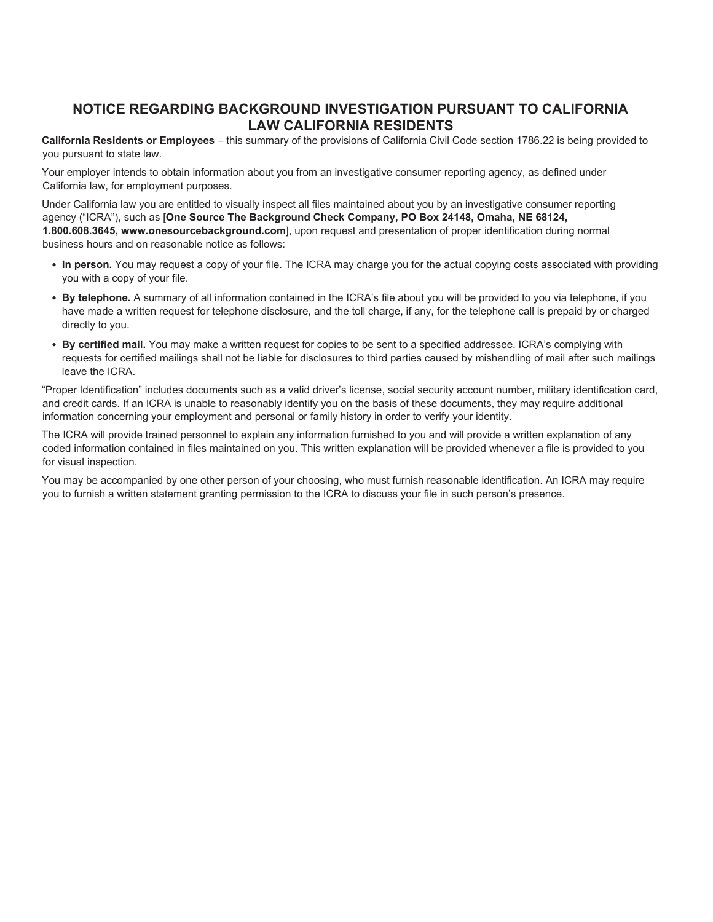## **NOTICE REGARDING BACKGROUND INVESTIGATION PURSUANT TO CALIFORNIA LAW CALIFORNIA RESIDENTS**

**California Residents or Employees** – this summary of the provisions of California Civil Code section 1786.22 is being provided to you pursuant to state law.

Your employer intends to obtain information about you from an investigative consumer reporting agency, as defined under California law, for employment purposes.

Under California law you are entitled to visually inspect all files maintained about you by an investigative consumer reporting agency ("ICRA"), such as [**One Source The Background Check Company, PO Box 24148, Omaha, NE 68124, 1.800.608.3645, www.onesourcebackground.com**], upon request and presentation of proper identification during normal business hours and on reasonable notice as follows:

- **In person.** You may request a copy of your file. The ICRA may charge you for the actual copying costs associated with providing you with a copy of your file.
- **By telephone.** A summary of all information contained in the ICRA's file about you will be provided to you via telephone, if you have made a written request for telephone disclosure, and the toll charge, if any, for the telephone call is prepaid by or charged directly to you.
- **By certified mail.** You may make a written request for copies to be sent to a specified addressee. ICRA's complying with requests for certified mailings shall not be liable for disclosures to third parties caused by mishandling of mail after such mailings leave the ICRA.

"Proper Identification" includes documents such as a valid driver's license, social security account number, military identification card, and credit cards. If an ICRA is unable to reasonably identify you on the basis of these documents, they may require additional information concerning your employment and personal or family history in order to verify your identity.

The ICRA will provide trained personnel to explain any information furnished to you and will provide a written explanation of any coded information contained in files maintained on you. This written explanation will be provided whenever a file is provided to you for visual inspection.

You may be accompanied by one other person of your choosing, who must furnish reasonable identification. An ICRA may require you to furnish a written statement granting permission to the ICRA to discuss your file in such person's presence.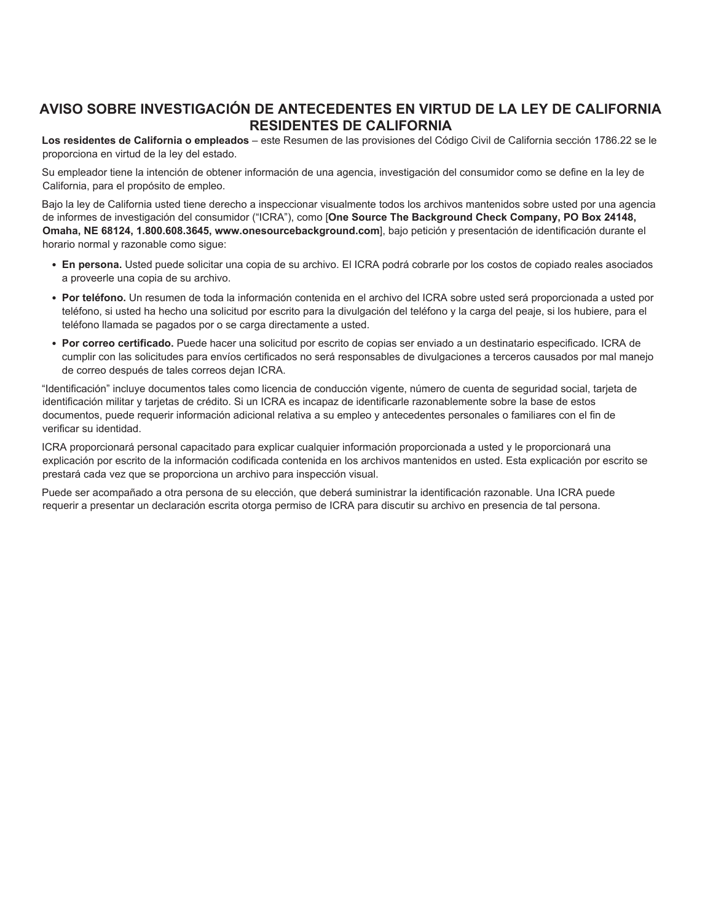## **AVISO SOBRE INVESTIGACIÓN DE ANTECEDENTES EN VIRTUD DE LA LEY DE CALIFORNIA RESIDENTES DE CALIFORNIA**

**Los residentes de California o empleados** – este Resumen de las provisiones del Código Civil de California sección 1786.22 se le proporciona en virtud de la ley del estado.

Su empleador tiene la intención de obtener información de una agencia, investigación del consumidor como se define en la ley de California, para el propósito de empleo.

Bajo la ley de California usted tiene derecho a inspeccionar visualmente todos los archivos mantenidos sobre usted por una agencia de informes de investigación del consumidor ("ICRA"), como [**One Source The Background Check Company, PO Box 24148, Omaha, NE 68124, 1.800.608.3645, www.onesourcebackground.com**], bajo petición y presentación de identificación durante el horario normal y razonable como sigue:

- **En persona.** Usted puede solicitar una copia de su archivo. El ICRA podrá cobrarle por los costos de copiado reales asociados a proveerle una copia de su archivo.
- **Por teléfono.** Un resumen de toda la información contenida en el archivo del ICRA sobre usted será proporcionada a usted por teléfono, si usted ha hecho una solicitud por escrito para la divulgación del teléfono y la carga del peaje, si los hubiere, para el teléfono llamada se pagados por o se carga directamente a usted.
- **Por correo certificado.** Puede hacer una solicitud por escrito de copias ser enviado a un destinatario especificado. ICRA de cumplir con las solicitudes para envíos certificados no será responsables de divulgaciones a terceros causados por mal manejo de correo después de tales correos dejan ICRA.

"Identificación" incluye documentos tales como licencia de conducción vigente, número de cuenta de seguridad social, tarjeta de identificación militar y tarjetas de crédito. Si un ICRA es incapaz de identificarle razonablemente sobre la base de estos documentos, puede requerir información adicional relativa a su empleo y antecedentes personales o familiares con el fin de verificar su identidad.

ICRA proporcionará personal capacitado para explicar cualquier información proporcionada a usted y le proporcionará una explicación por escrito de la información codificada contenida en los archivos mantenidos en usted. Esta explicación por escrito se prestará cada vez que se proporciona un archivo para inspección visual.

Puede ser acompañado a otra persona de su elección, que deberá suministrar la identificación razonable. Una ICRA puede requerir a presentar un declaración escrita otorga permiso de ICRA para discutir su archivo en presencia de tal persona.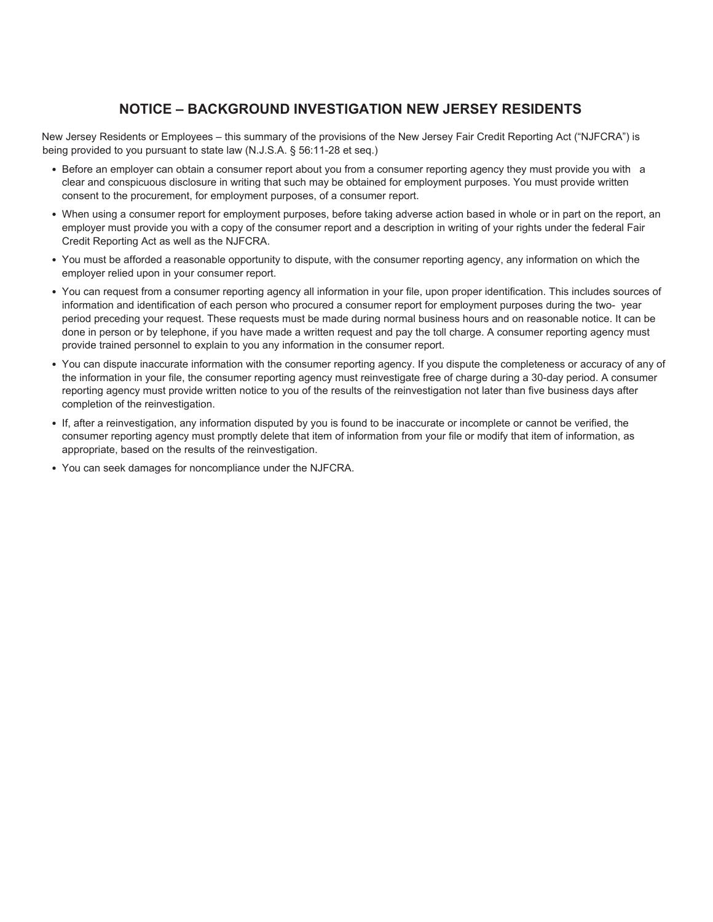# **NOTICE – BACKGROUND INVESTIGATION NEW JERSEY RESIDENTS**

New Jersey Residents or Employees – this summary of the provisions of the New Jersey Fair Credit Reporting Act ("NJFCRA") is being provided to you pursuant to state law (N.J.S.A. § 56:11-28 et seq.)

- Before an employer can obtain a consumer report about you from a consumer reporting agency they must provide you with a clear and conspicuous disclosure in writing that such may be obtained for employment purposes. You must provide written consent to the procurement, for employment purposes, of a consumer report.
- When using a consumer report for employment purposes, before taking adverse action based in whole or in part on the report, an employer must provide you with a copy of the consumer report and a description in writing of your rights under the federal Fair Credit Reporting Act as well as the NJFCRA.
- You must be afforded a reasonable opportunity to dispute, with the consumer reporting agency, any information on which the employer relied upon in your consumer report.
- You can request from a consumer reporting agency all information in your file, upon proper identification. This includes sources of information and identification of each person who procured a consumer report for employment purposes during the two- year period preceding your request. These requests must be made during normal business hours and on reasonable notice. It can be done in person or by telephone, if you have made a written request and pay the toll charge. A consumer reporting agency must provide trained personnel to explain to you any information in the consumer report.
- You can dispute inaccurate information with the consumer reporting agency. If you dispute the completeness or accuracy of any of the information in your file, the consumer reporting agency must reinvestigate free of charge during a 30-day period. A consumer reporting agency must provide written notice to you of the results of the reinvestigation not later than five business days after completion of the reinvestigation.
- If, after a reinvestigation, any information disputed by you is found to be inaccurate or incomplete or cannot be verified, the consumer reporting agency must promptly delete that item of information from your file or modify that item of information, as appropriate, based on the results of the reinvestigation.
- You can seek damages for noncompliance under the NJFCRA.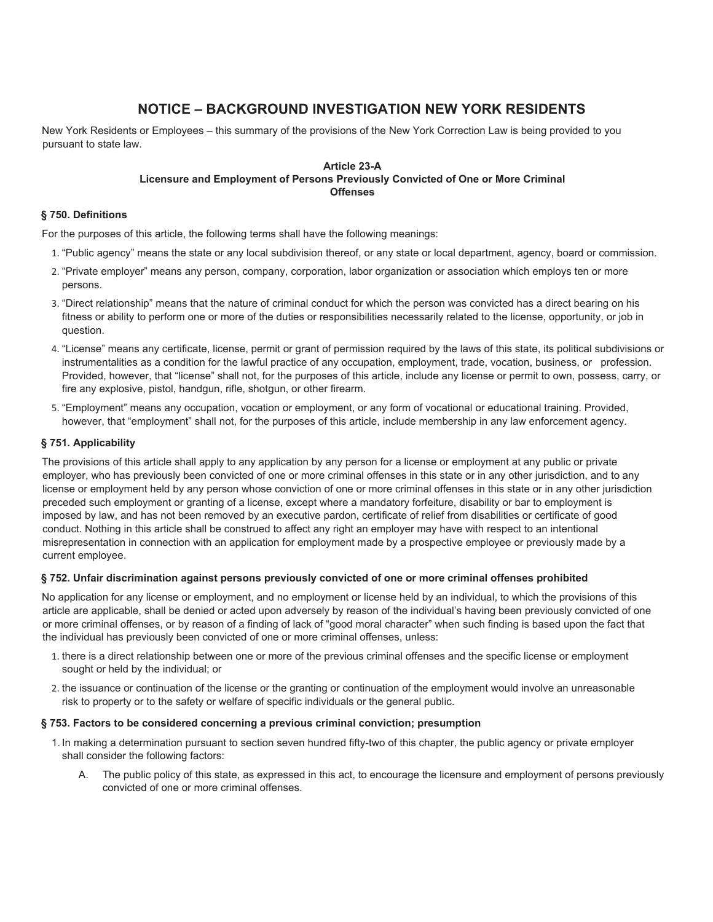# **NOTICE – BACKGROUND INVESTIGATION NEW YORK RESIDENTS**

New York Residents or Employees – this summary of the provisions of the New York Correction Law is being provided to you pursuant to state law.

#### **Article 23-A Licensure and Employment of Persons Previously Convicted of One or More Criminal Offenses**

### **§ 750. Definitions**

For the purposes of this article, the following terms shall have the following meanings:

- 1. "Public agency" means the state or any local subdivision thereof, or any state or local department, agency, board or commission.
- 2. "Private employer" means any person, company, corporation, labor organization or association which employs ten or more persons.
- 3. "Direct relationship" means that the nature of criminal conduct for which the person was convicted has a direct bearing on his fitness or ability to perform one or more of the duties or responsibilities necessarily related to the license, opportunity, or job in question.
- 4. "License" means any certificate, license, permit or grant of permission required by the laws of this state, its political subdivisions or instrumentalities as a condition for the lawful practice of any occupation, employment, trade, vocation, business, or profession. Provided, however, that "license" shall not, for the purposes of this article, include any license or permit to own, possess, carry, or fire any explosive, pistol, handgun, rifle, shotgun, or other firearm.
- 5. "Employment" means any occupation, vocation or employment, or any form of vocational or educational training. Provided, however, that "employment" shall not, for the purposes of this article, include membership in any law enforcement agency.

### **§ 751. Applicability**

The provisions of this article shall apply to any application by any person for a license or employment at any public or private employer, who has previously been convicted of one or more criminal offenses in this state or in any other jurisdiction, and to any license or employment held by any person whose conviction of one or more criminal offenses in this state or in any other jurisdiction preceded such employment or granting of a license, except where a mandatory forfeiture, disability or bar to employment is imposed by law, and has not been removed by an executive pardon, certificate of relief from disabilities or certificate of good conduct. Nothing in this article shall be construed to affect any right an employer may have with respect to an intentional misrepresentation in connection with an application for employment made by a prospective employee or previously made by a current employee.

#### **§ 752. Unfair discrimination against persons previously convicted of one or more criminal offenses prohibited**

No application for any license or employment, and no employment or license held by an individual, to which the provisions of this article are applicable, shall be denied or acted upon adversely by reason of the individual's having been previously convicted of one or more criminal offenses, or by reason of a finding of lack of "good moral character" when such finding is based upon the fact that the individual has previously been convicted of one or more criminal offenses, unless:

- 1. there is a direct relationship between one or more of the previous criminal offenses and the specific license or employment sought or held by the individual; or
- 2. the issuance or continuation of the license or the granting or continuation of the employment would involve an unreasonable risk to property or to the safety or welfare of specific individuals or the general public.

### **§ 753. Factors to be considered concerning a previous criminal conviction; presumption**

- 1. In making a determination pursuant to section seven hundred fifty-two of this chapter, the public agency or private employer shall consider the following factors:
	- A. The public policy of this state, as expressed in this act, to encourage the licensure and employment of persons previously convicted of one or more criminal offenses.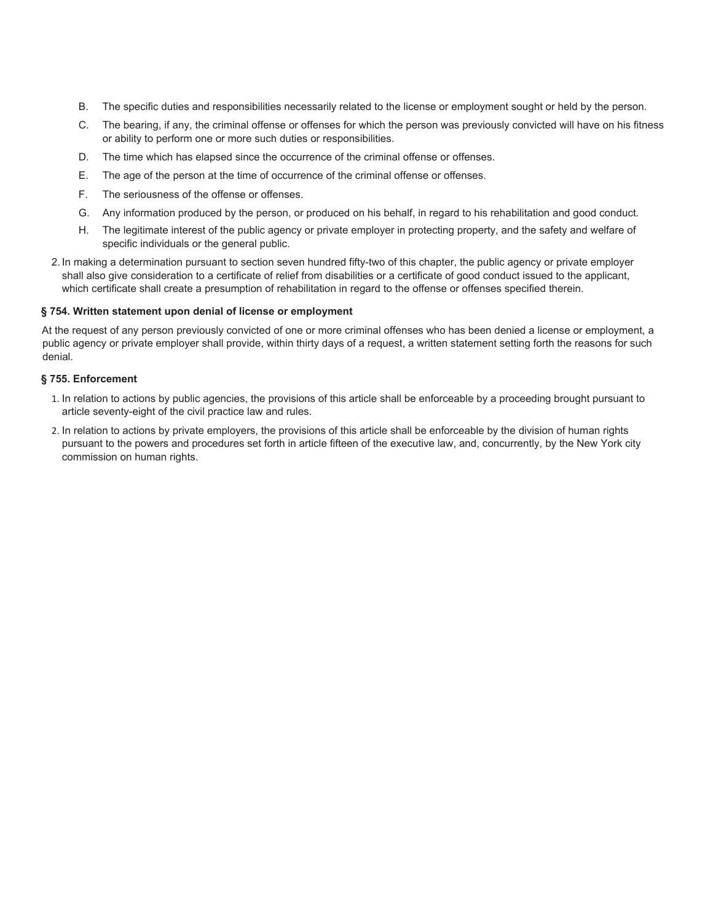- B. The specific duties and responsibilities necessarily related to the license or employment sought or held by the person.
- C. The bearing, if any, the criminal offense or offenses for which the person was previously convicted will have on his fitness or ability to perform one or more such duties or responsibilities.
- D. The time which has elapsed since the occurrence of the criminal offense or offenses.
- E. The age of the person at the time of occurrence of the criminal offense or offenses.
- F. The seriousness of the offense or offenses.
- G. Any information produced by the person, or produced on his behalf, in regard to his rehabilitation and good conduct.
- H. The legitimate interest of the public agency or private employer in protecting property, and the safety and welfare of specific individuals or the general public.
- 2. In making a determination pursuant to section seven hundred fifty-two of this chapter, the public agency or private employer shall also give consideration to a certificate of relief from disabilities or a certificate of good conduct issued to the applicant, which certificate shall create a presumption of rehabilitation in regard to the offense or offenses specified therein.

#### **§ 754. Written statement upon denial of license or employment**

At the request of any person previously convicted of one or more criminal offenses who has been denied a license or employment, a public agency or private employer shall provide, within thirty days of a request, a written statement setting forth the reasons for such denial.

### **§ 755. Enforcement**

- 1. In relation to actions by public agencies, the provisions of this article shall be enforceable by a proceeding brought pursuant to article seventy-eight of the civil practice law and rules.
- 2. In relation to actions by private employers, the provisions of this article shall be enforceable by the division of human rights pursuant to the powers and procedures set forth in article fifteen of the executive law, and, concurrently, by the New York city commission on human rights.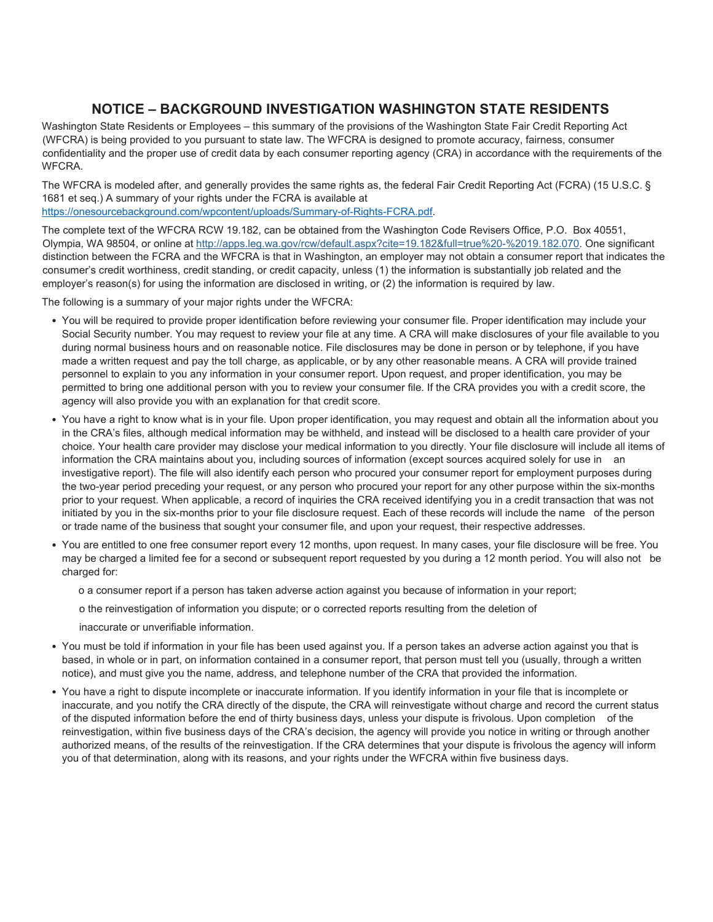# **NOTICE – BACKGROUND INVESTIGATION WASHINGTON STATE RESIDENTS**

Washington State Residents or Employees – this summary of the provisions of the Washington State Fair Credit Reporting Act (WFCRA) is being provided to you pursuant to state law. The WFCRA is designed to promote accuracy, fairness, consumer confidentiality and the proper use of credit data by each consumer reporting agency (CRA) in accordance with the requirements of the WFCRA.

The WFCRA is modeled after, and generally provides the same rights as, the federal Fair Credit Reporting Act (FCRA) (15 U.S.C. § 1681 et seq.) A summary of your rights under the FCRA is available at https://onesourcebackground.com/wpcontent/uploads/Summary-of-Rights-FCRA.pdf.

The complete text of the WFCRA RCW 19.182, can be obtained from the Washington Code Revisers Office, P.O. Box 40551, Olympia, WA 98504, or online at http://apps.leg.wa.gov/rcw/default.aspx?cite=19.182&full=true%20-%2019.182.070. One significant distinction between the FCRA and the WFCRA is that in Washington, an employer may not obtain a consumer report that indicates the consumer's credit worthiness, credit standing, or credit capacity, unless (1) the information is substantially job related and the employer's reason(s) for using the information are disclosed in writing, or (2) the information is required by law.

The following is a summary of your major rights under the WFCRA:

- You will be required to provide proper identification before reviewing your consumer file. Proper identification may include your Social Security number. You may request to review your file at any time. A CRA will make disclosures of your file available to you during normal business hours and on reasonable notice. File disclosures may be done in person or by telephone, if you have made a written request and pay the toll charge, as applicable, or by any other reasonable means. A CRA will provide trained personnel to explain to you any information in your consumer report. Upon request, and proper identification, you may be permitted to bring one additional person with you to review your consumer file. If the CRA provides you with a credit score, the agency will also provide you with an explanation for that credit score.
- You have a right to know what is in your file. Upon proper identification, you may request and obtain all the information about you in the CRA's files, although medical information may be withheld, and instead will be disclosed to a health care provider of your choice. Your health care provider may disclose your medical information to you directly. Your file disclosure will include all items of information the CRA maintains about you, including sources of information (except sources acquired solely for use in an investigative report). The file will also identify each person who procured your consumer report for employment purposes during the two-year period preceding your request, or any person who procured your report for any other purpose within the six-months prior to your request. When applicable, a record of inquiries the CRA received identifying you in a credit transaction that was not initiated by you in the six-months prior to your file disclosure request. Each of these records will include the name of the person or trade name of the business that sought your consumer file, and upon your request, their respective addresses.
- You are entitled to one free consumer report every 12 months, upon request. In many cases, your file disclosure will be free. You may be charged a limited fee for a second or subsequent report requested by you during a 12 month period. You will also not be charged for:
	- o a consumer report if a person has taken adverse action against you because of information in your report;
	- o the reinvestigation of information you dispute; or o corrected reports resulting from the deletion of
	- inaccurate or unverifiable information.
- You must be told if information in your file has been used against you. If a person takes an adverse action against you that is based, in whole or in part, on information contained in a consumer report, that person must tell you (usually, through a written notice), and must give you the name, address, and telephone number of the CRA that provided the information.
- You have a right to dispute incomplete or inaccurate information. If you identify information in your file that is incomplete or inaccurate, and you notify the CRA directly of the dispute, the CRA will reinvestigate without charge and record the current status of the disputed information before the end of thirty business days, unless your dispute is frivolous. Upon completion of the reinvestigation, within five business days of the CRA's decision, the agency will provide you notice in writing or through another authorized means, of the results of the reinvestigation. If the CRA determines that your dispute is frivolous the agency will inform you of that determination, along with its reasons, and your rights under the WFCRA within five business days.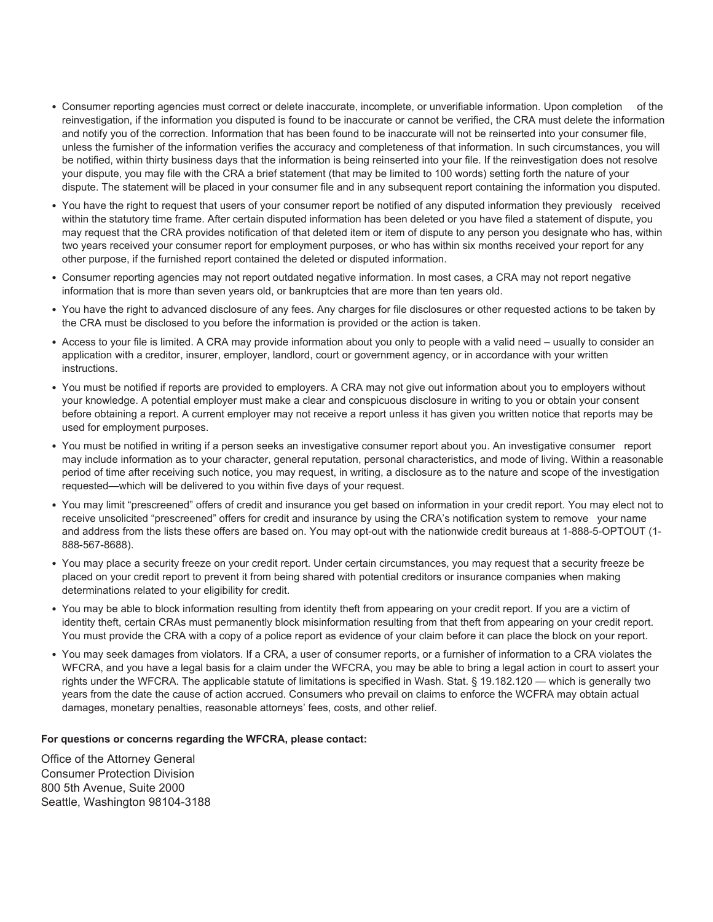- Consumer reporting agencies must correct or delete inaccurate, incomplete, or unverifiable information. Upon completion of the reinvestigation, if the information you disputed is found to be inaccurate or cannot be verified, the CRA must delete the information and notify you of the correction. Information that has been found to be inaccurate will not be reinserted into your consumer file, unless the furnisher of the information verifies the accuracy and completeness of that information. In such circumstances, you will be notified, within thirty business days that the information is being reinserted into your file. If the reinvestigation does not resolve your dispute, you may file with the CRA a brief statement (that may be limited to 100 words) setting forth the nature of your dispute. The statement will be placed in your consumer file and in any subsequent report containing the information you disputed.
- You have the right to request that users of your consumer report be notified of any disputed information they previously received within the statutory time frame. After certain disputed information has been deleted or you have filed a statement of dispute, you may request that the CRA provides notification of that deleted item or item of dispute to any person you designate who has, within two years received your consumer report for employment purposes, or who has within six months received your report for any other purpose, if the furnished report contained the deleted or disputed information.
- Consumer reporting agencies may not report outdated negative information. In most cases, a CRA may not report negative information that is more than seven years old, or bankruptcies that are more than ten years old.
- You have the right to advanced disclosure of any fees. Any charges for file disclosures or other requested actions to be taken by the CRA must be disclosed to you before the information is provided or the action is taken.
- Access to your file is limited. A CRA may provide information about you only to people with a valid need usually to consider an application with a creditor, insurer, employer, landlord, court or government agency, or in accordance with your written instructions.
- You must be notified if reports are provided to employers. A CRA may not give out information about you to employers without your knowledge. A potential employer must make a clear and conspicuous disclosure in writing to you or obtain your consent before obtaining a report. A current employer may not receive a report unless it has given you written notice that reports may be used for employment purposes.
- You must be notified in writing if a person seeks an investigative consumer report about you. An investigative consumer report may include information as to your character, general reputation, personal characteristics, and mode of living. Within a reasonable period of time after receiving such notice, you may request, in writing, a disclosure as to the nature and scope of the investigation requested—which will be delivered to you within five days of your request.
- You may limit "prescreened" offers of credit and insurance you get based on information in your credit report. You may elect not to receive unsolicited "prescreened" offers for credit and insurance by using the CRA's notification system to remove your name and address from the lists these offers are based on. You may opt-out with the nationwide credit bureaus at 1-888-5-OPTOUT (1- 888-567-8688).
- You may place a security freeze on your credit report. Under certain circumstances, you may request that a security freeze be placed on your credit report to prevent it from being shared with potential creditors or insurance companies when making determinations related to your eligibility for credit.
- You may be able to block information resulting from identity theft from appearing on your credit report. If you are a victim of identity theft, certain CRAs must permanently block misinformation resulting from that theft from appearing on your credit report. You must provide the CRA with a copy of a police report as evidence of your claim before it can place the block on your report.
- You may seek damages from violators. If a CRA, a user of consumer reports, or a furnisher of information to a CRA violates the WFCRA, and you have a legal basis for a claim under the WFCRA, you may be able to bring a legal action in court to assert your rights under the WFCRA. The applicable statute of limitations is specified in Wash. Stat. § 19.182.120 — which is generally two years from the date the cause of action accrued. Consumers who prevail on claims to enforce the WCFRA may obtain actual damages, monetary penalties, reasonable attorneys' fees, costs, and other relief.

#### **For questions or concerns regarding the WFCRA, please contact:**

Office of the Attorney General Consumer Protection Division 800 5th Avenue, Suite 2000 Seattle, Washington 98104-3188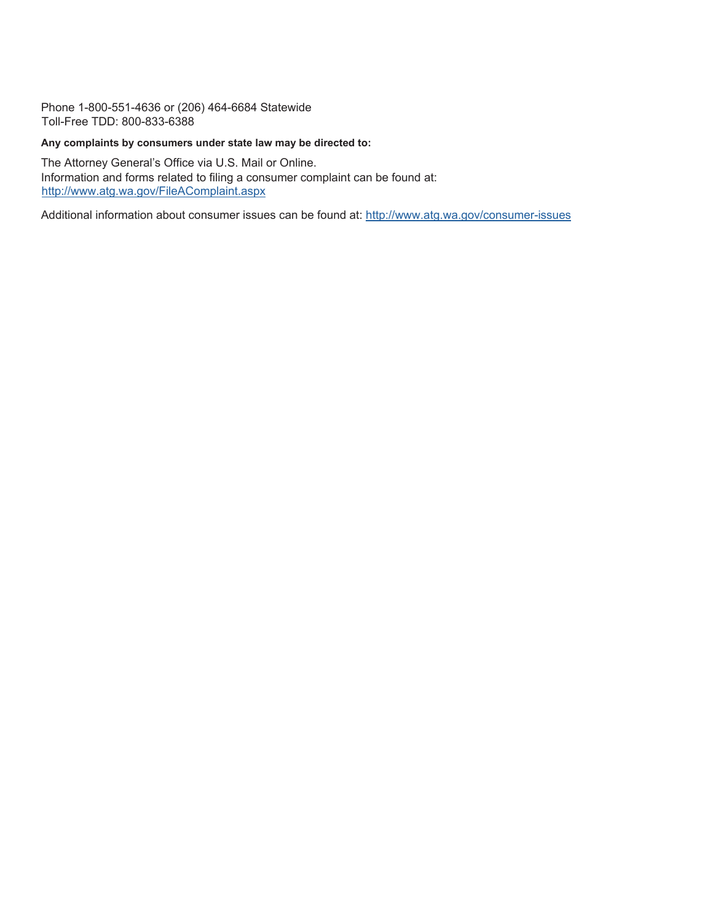Phone 1-800-551-4636 or (206) 464-6684 Statewide Toll-Free TDD: 800-833-6388

### **Any complaints by consumers under state law may be directed to:**

The Attorney General's Office via U.S. Mail or Online. Information and forms related to filing a consumer complaint can be found at: http://www.atg.wa.gov/FileAComplaint.aspx

Additional information about consumer issues can be found at: http://www.atg.wa.gov/consumer-issues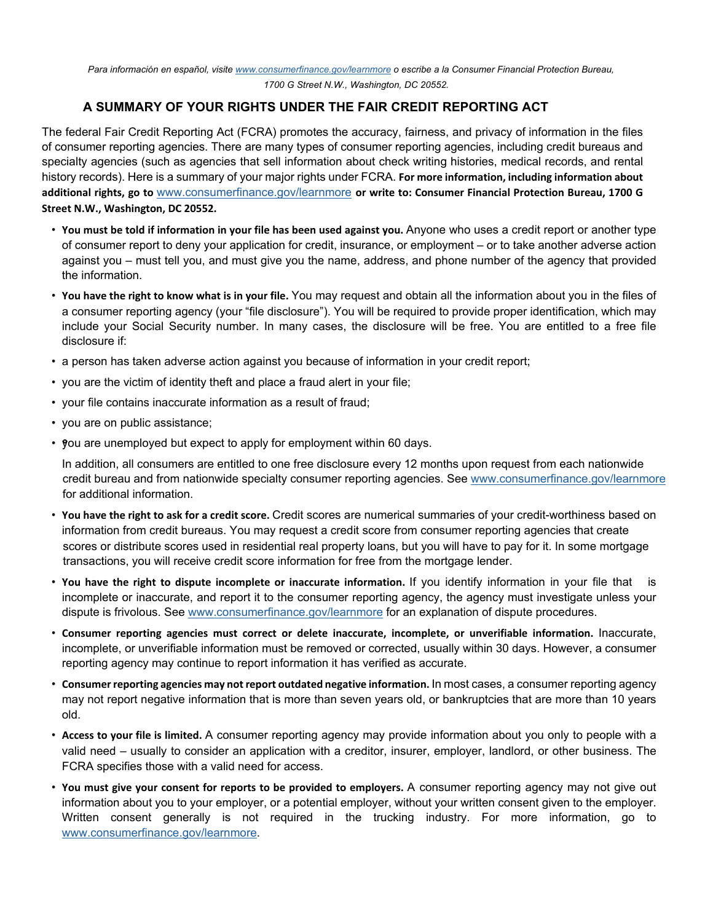## **A SUMMARY OF YOUR RIGHTS UNDER THE FAIR CREDIT REPORTING ACT**

The federal Fair Credit Reporting Act (FCRA) promotes the accuracy, fairness, and privacy of information in the files of consumer reporting agencies. There are many types of consumer reporting agencies, including credit bureaus and specialty agencies (such as agencies that sell information about check writing histories, medical records, and rental history records). Here is a summary of your major rights under FCRA. **For more information, including information about additional rights, go to** www.consumerfinance.gov/learnmore **or write to: Consumer Financial Protection Bureau, 1700 G Street N.W., Washington, DC 20552.**

- **You must be told if information in your file has been used against you.** Anyone who uses a credit report or another type of consumer report to deny your application for credit, insurance, or employment – or to take another adverse action against you – must tell you, and must give you the name, address, and phone number of the agency that provided the information.
- **You have the right to know what is in your file.** You may request and obtain all the information about you in the files of a consumer reporting agency (your "file disclosure"). You will be required to provide proper identification, which may include your Social Security number. In many cases, the disclosure will be free. You are entitled to a free file disclosure if:
- a person has taken adverse action against you because of information in your credit report;
- you are the victim of identity theft and place a fraud alert in your file;
- your file contains inaccurate information as a result of fraud;
- you are on public assistance;
- you are unemployed but expect to apply for employment within 60 days.

In addition, all consumers are entitled to one free disclosure every 12 months upon request from each nationwide credit bureau and from nationwide specialty consumer reporting agencies. See www.consumerfinance.gov/learnmore for additional information.

- **You have the right to ask for a credit score.** Credit scores are numerical summaries of your credit-worthiness based on information from credit bureaus. You may request a credit score from consumer reporting agencies that create scores or distribute scores used in residential real property loans, but you will have to pay for it. In some mortgage transactions, you will receive credit score information for free from the mortgage lender.
- **You have the right to dispute incomplete or inaccurate information.** If you identify information in your file that is incomplete or inaccurate, and report it to the consumer reporting agency, the agency must investigate unless your dispute is frivolous. See www.consumerfinance.gov/learnmore for an explanation of dispute procedures.
- **Consumer reporting agencies must correct or delete inaccurate, incomplete, or unverifiable information.** Inaccurate, incomplete, or unverifiable information must be removed or corrected, usually within 30 days. However, a consumer reporting agency may continue to report information it has verified as accurate.
- **Consumerreporting agencies may notreport outdated negative information.** In most cases, a consumer reporting agency may not report negative information that is more than seven years old, or bankruptcies that are more than 10 years old.
- **Access to your file is limited.** A consumer reporting agency may provide information about you only to people with a valid need – usually to consider an application with a creditor, insurer, employer, landlord, or other business. The FCRA specifies those with a valid need for access.
- **You must give your consent for reports to be provided to employers.** A consumer reporting agency may not give out information about you to your employer, or a potential employer, without your written consent given to the employer. Written consent generally is not required in the trucking industry. For more information, go to www.consumerfinance.gov/learnmore.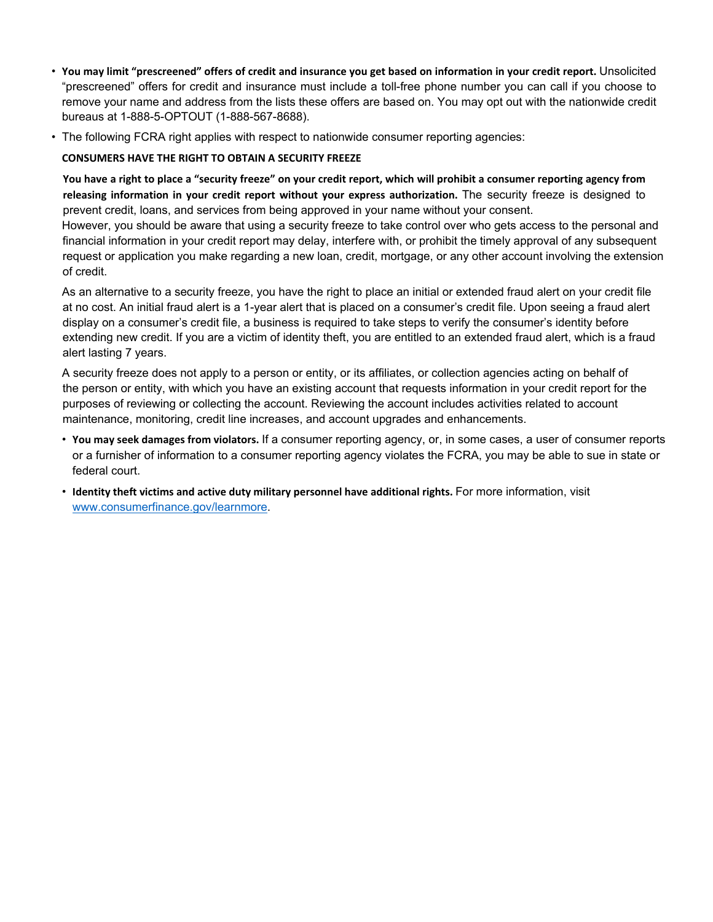- You may limit "prescreened" offers of credit and insurance you get based on information in your credit report. Unsolicited "prescreened" offers for credit and insurance must include a toll-free phone number you can call if you choose to remove your name and address from the lists these offers are based on. You may opt out with the nationwide credit bureaus at 1-888-5-OPTOUT (1-888-567-8688).
- The following FCRA right applies with respect to nationwide consumer reporting agencies:

### **CONSUMERS HAVE THE RIGHT TO OBTAIN A SECURITY FREEZE**

You have a right to place a "security freeze" on your credit report, which will prohibit a consumer reporting agency from **releasing information in your credit report without your express authorization.** The security freeze is designed to prevent credit, loans, and services from being approved in your name without your consent.

However, you should be aware that using a security freeze to take control over who gets access to the personal and financial information in your credit report may delay, interfere with, or prohibit the timely approval of any subsequent request or application you make regarding a new loan, credit, mortgage, or any other account involving the extension of credit.

As an alternative to a security freeze, you have the right to place an initial or extended fraud alert on your credit file at no cost. An initial fraud alert is a 1-year alert that is placed on a consumer's credit file. Upon seeing a fraud alert display on a consumer's credit file, a business is required to take steps to verify the consumer's identity before extending new credit. If you are a victim of identity theft, you are entitled to an extended fraud alert, which is a fraud alert lasting 7 years.

A security freeze does not apply to a person or entity, or its affiliates, or collection agencies acting on behalf of the person or entity, with which you have an existing account that requests information in your credit report for the purposes of reviewing or collecting the account. Reviewing the account includes activities related to account maintenance, monitoring, credit line increases, and account upgrades and enhancements.

- **You may seek damages from violators.** If a consumer reporting agency, or, in some cases, a user of consumer reports or a furnisher of information to a consumer reporting agency violates the FCRA, you may be able to sue in state or federal court.
- **Identity theft victims and active duty military personnel have additional rights.** For more information, visit www.consumerfinance.gov/learnmore.